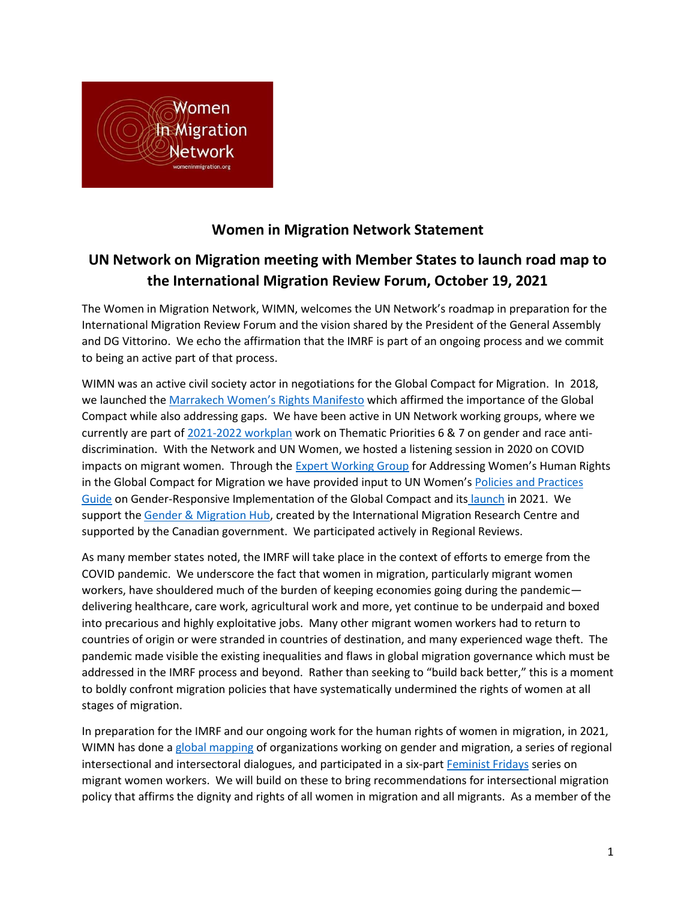

# **Women in Migration Network Statement**

# **UN Network on Migration meeting with Member States to launch road map to the International Migration Review Forum, October 19, 2021**

The Women in Migration Network, WIMN, welcomes the UN Network's roadmap in preparation for the International Migration Review Forum and the vision shared by the President of the General Assembly and DG Vittorino. We echo the affirmation that the IMRF is part of an ongoing process and we commit to being an active part of that process.

WIMN was an active civil society actor in negotiations for the Global Compact for Migration. In 2018, we launched the [Marrakech Women's Rights Manifesto](https://womeninmigration.org/2018/11/endorse-the-marrakech-womens-rights-manifesto/#:~:text=Women%20in%20Migration%20Network%20and,to%20supporters%20around%20the%20world.) which affirmed the importance of the Global Compact while also addressing gaps. We have been active in UN Network working groups, where we currently are part of [2021-2022 workplan](https://migrationnetwork.un.org/sites/default/files/docs/network_-_workplan_2021-2022_final.pdf) work on Thematic Priorities 6 & 7 on gender and race antidiscrimination. With the Network and UN Women, we hosted a listening session in 2020 on COVID impacts on migrant women. Through the [Expert Working Group](https://www.empowerwomen.org/en/who-we-are/initiatives/expert-working-group-migration) for Addressing Women's Human Rights in the Global Compact for Migration we have provided input to UN Women's [Policies and Practices](https://ppguide.unwomen.org/)  [Guide](https://ppguide.unwomen.org/) on Gender-Responsive Implementation of the Global Compact and its [launch](https://womeninmigration.org/2021/08/wimn-members-speak-at-launch-of-gender-guidelines-for-global-compact/) in 2021. We support the [Gender & Migration Hub,](https://gendermigrationhub.org/) created by the International Migration Research Centre and supported by the Canadian government. We participated actively in Regional Reviews.

As many member states noted, the IMRF will take place in the context of efforts to emerge from the COVID pandemic. We underscore the fact that women in migration, particularly migrant women workers, have shouldered much of the burden of keeping economies going during the pandemic delivering healthcare, care work, agricultural work and more, yet continue to be underpaid and boxed into precarious and highly exploitative jobs. Many other migrant women workers had to return to countries of origin or were stranded in countries of destination, and many experienced wage theft. The pandemic made visible the existing inequalities and flaws in global migration governance which must be addressed in the IMRF process and beyond. Rather than seeking to "build back better," this is a moment to boldly confront migration policies that have systematically undermined the rights of women at all stages of migration.

In preparation for the IMRF and our ongoing work for the human rights of women in migration, in 2021, WIMN has done [a global mapping](https://womeninmigration.org/2021/03/no-borders-to-equality-global-mapping/) of organizations working on gender and migration, a series of regional intersectional and intersectoral dialogues, and participated in a six-part [Feminist Fridays](https://www.gaatw.org/events-and-news/68-gaatw-news/1098-feminist-fridays) series on migrant women workers. We will build on these to bring recommendations for intersectional migration policy that affirms the dignity and rights of all women in migration and all migrants. As a member of the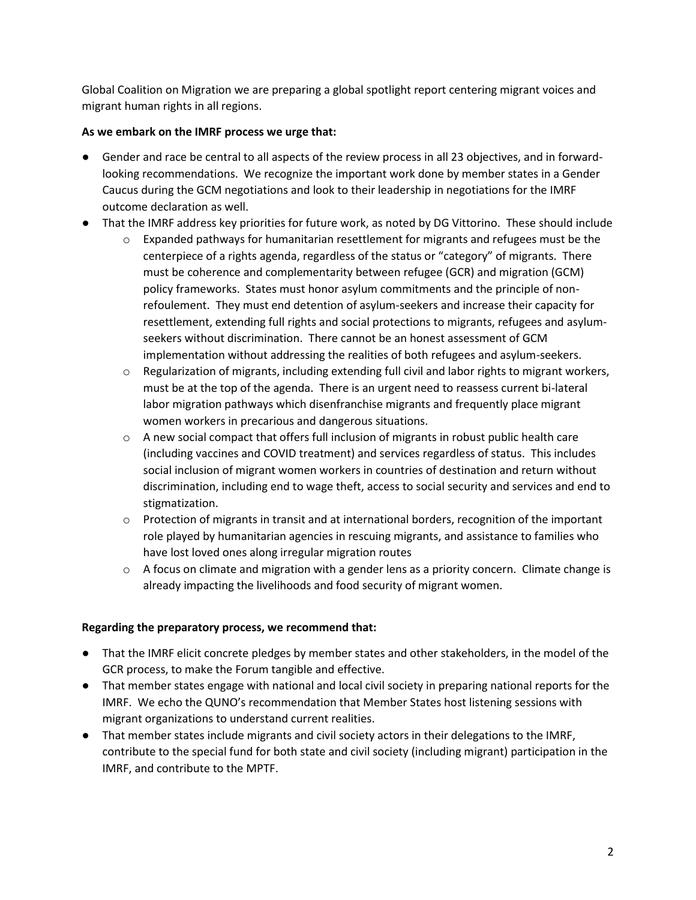Global Coalition on Migration we are preparing a global spotlight report centering migrant voices and migrant human rights in all regions.

## **As we embark on the IMRF process we urge that:**

- Gender and race be central to all aspects of the review process in all 23 objectives, and in forwardlooking recommendations. We recognize the important work done by member states in a Gender Caucus during the GCM negotiations and look to their leadership in negotiations for the IMRF outcome declaration as well.
- That the IMRF address key priorities for future work, as noted by DG Vittorino. These should include
	- $\circ$  Expanded pathways for humanitarian resettlement for migrants and refugees must be the centerpiece of a rights agenda, regardless of the status or "category" of migrants. There must be coherence and complementarity between refugee (GCR) and migration (GCM) policy frameworks. States must honor asylum commitments and the principle of nonrefoulement. They must end detention of asylum-seekers and increase their capacity for resettlement, extending full rights and social protections to migrants, refugees and asylumseekers without discrimination. There cannot be an honest assessment of GCM implementation without addressing the realities of both refugees and asylum-seekers.
	- $\circ$  Regularization of migrants, including extending full civil and labor rights to migrant workers, must be at the top of the agenda. There is an urgent need to reassess current bi-lateral labor migration pathways which disenfranchise migrants and frequently place migrant women workers in precarious and dangerous situations.
	- $\circ$  A new social compact that offers full inclusion of migrants in robust public health care (including vaccines and COVID treatment) and services regardless of status. This includes social inclusion of migrant women workers in countries of destination and return without discrimination, including end to wage theft, access to social security and services and end to stigmatization.
	- $\circ$  Protection of migrants in transit and at international borders, recognition of the important role played by humanitarian agencies in rescuing migrants, and assistance to families who have lost loved ones along irregular migration routes
	- $\circ$  A focus on climate and migration with a gender lens as a priority concern. Climate change is already impacting the livelihoods and food security of migrant women.

### **Regarding the preparatory process, we recommend that:**

- That the IMRF elicit concrete pledges by member states and other stakeholders, in the model of the GCR process, to make the Forum tangible and effective.
- That member states engage with national and local civil society in preparing national reports for the IMRF. We echo the QUNO's recommendation that Member States host listening sessions with migrant organizations to understand current realities.
- That member states include migrants and civil society actors in their delegations to the IMRF, contribute to the special fund for both state and civil society (including migrant) participation in the IMRF, and contribute to the MPTF.